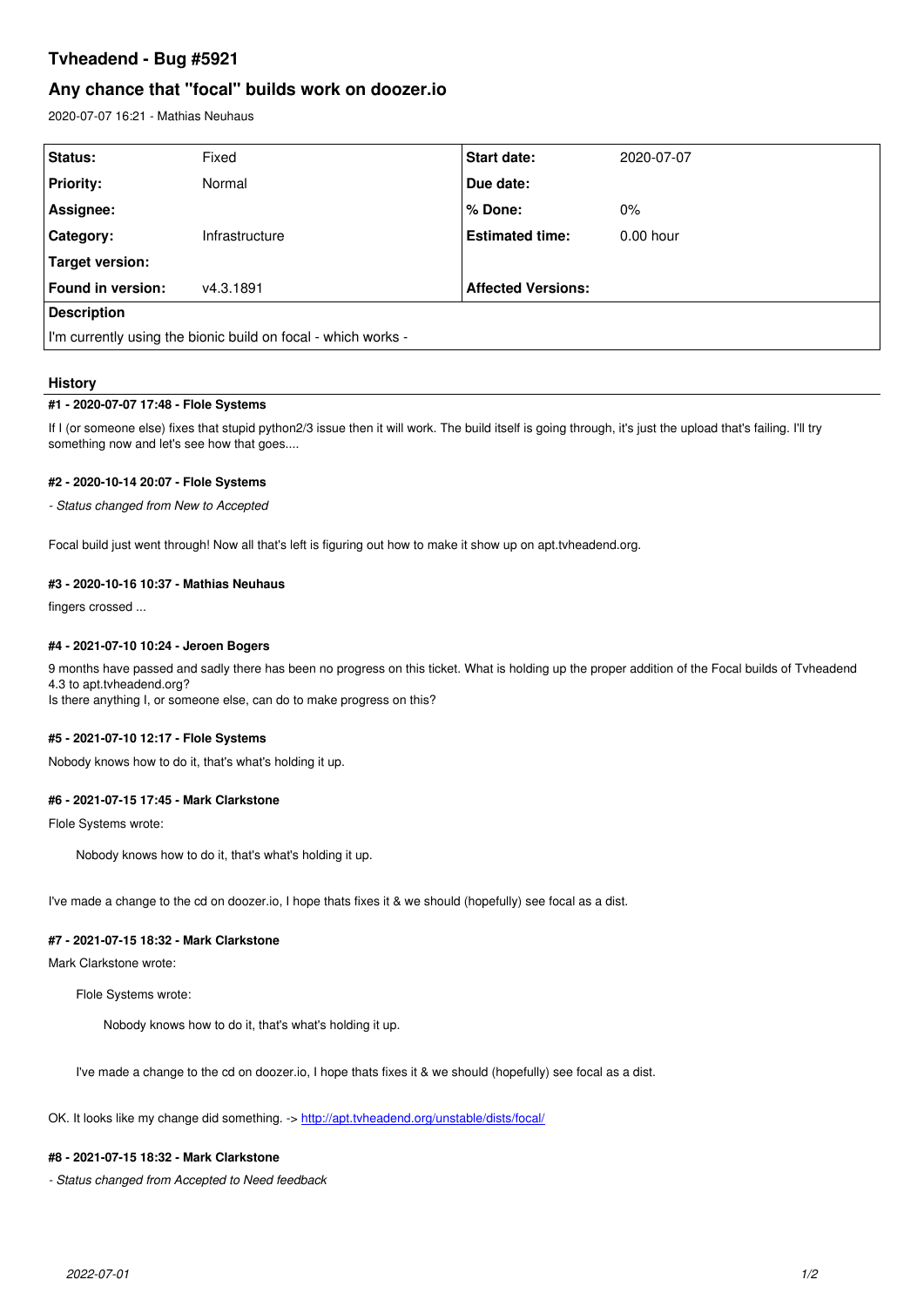# **Tvheadend - Bug #5921**

# **Any chance that "focal" builds work on doozer.io**

2020-07-07 16:21 - Mathias Neuhaus

| Status:                                                       | Fixed          | <b>Start date:</b>        | 2020-07-07  |
|---------------------------------------------------------------|----------------|---------------------------|-------------|
| <b>Priority:</b>                                              | Normal         | Due date:                 |             |
| Assignee:                                                     |                | % Done:                   | $0\%$       |
| Category:                                                     | Infrastructure | <b>Estimated time:</b>    | $0.00$ hour |
| Target version:                                               |                |                           |             |
| Found in version:                                             | v4.3.1891      | <b>Affected Versions:</b> |             |
| <b>Description</b>                                            |                |                           |             |
| I'm currently using the bionic build on focal - which works - |                |                           |             |

# **History**

## **#1 - 2020-07-07 17:48 - Flole Systems**

If I (or someone else) fixes that stupid python2/3 issue then it will work. The build itself is going through, it's just the upload that's failing. I'll try something now and let's see how that goes....

# **#2 - 2020-10-14 20:07 - Flole Systems**

*- Status changed from New to Accepted*

Focal build just went through! Now all that's left is figuring out how to make it show up on apt.tvheadend.org.

# **#3 - 2020-10-16 10:37 - Mathias Neuhaus**

fingers crossed ...

#### **#4 - 2021-07-10 10:24 - Jeroen Bogers**

9 months have passed and sadly there has been no progress on this ticket. What is holding up the proper addition of the Focal builds of Tvheadend 4.3 to apt.tvheadend.org? Is there anything I, or someone else, can do to make progress on this?

#### **#5 - 2021-07-10 12:17 - Flole Systems**

Nobody knows how to do it, that's what's holding it up.

## **#6 - 2021-07-15 17:45 - Mark Clarkstone**

Flole Systems wrote:

Nobody knows how to do it, that's what's holding it up.

I've made a change to the cd on doozer.io, I hope thats fixes it & we should (hopefully) see focal as a dist.

#### **#7 - 2021-07-15 18:32 - Mark Clarkstone**

Mark Clarkstone wrote:

Flole Systems wrote:

Nobody knows how to do it, that's what's holding it up.

I've made a change to the cd on doozer.io, I hope thats fixes it & we should (hopefully) see focal as a dist.

OK. It looks like my change did something. -><http://apt.tvheadend.org/unstable/dists/focal/>

## **#8 - 2021-07-15 18:32 - Mark Clarkstone**

*- Status changed from Accepted to Need feedback*